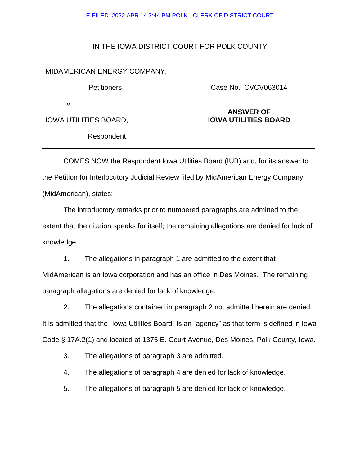#### E-FILED 2022 APR 14 3:44 PM POLK - CLERK OF DISTRICT COURT

## IN THE IOWA DISTRICT COURT FOR POLK COUNTY

## MIDAMERICAN ENERGY COMPANY,

Petitioners,

v.

IOWA UTILITIES BOARD,

Respondent.

### Case No. CVCV063014

# **ANSWER OF IOWA UTILITIES BOARD**

COMES NOW the Respondent Iowa Utilities Board (IUB) and, for its answer to the Petition for Interlocutory Judicial Review filed by MidAmerican Energy Company (MidAmerican), states:

The introductory remarks prior to numbered paragraphs are admitted to the extent that the citation speaks for itself; the remaining allegations are denied for lack of knowledge.

1. The allegations in paragraph 1 are admitted to the extent that MidAmerican is an Iowa corporation and has an office in Des Moines. The remaining paragraph allegations are denied for lack of knowledge.

2. The allegations contained in paragraph 2 not admitted herein are denied. It is admitted that the "Iowa Utilities Board" is an "agency" as that term is defined in Iowa Code § 17A.2(1) and located at 1375 E. Court Avenue, Des Moines, Polk County, Iowa.

3. The allegations of paragraph 3 are admitted.

4. The allegations of paragraph 4 are denied for lack of knowledge.

5. The allegations of paragraph 5 are denied for lack of knowledge.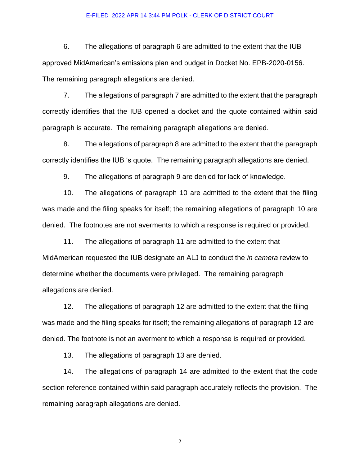#### E-FILED 2022 APR 14 3:44 PM POLK - CLERK OF DISTRICT COURT

6. The allegations of paragraph 6 are admitted to the extent that the IUB approved MidAmerican's emissions plan and budget in Docket No. EPB-2020-0156. The remaining paragraph allegations are denied.

7. The allegations of paragraph 7 are admitted to the extent that the paragraph correctly identifies that the IUB opened a docket and the quote contained within said paragraph is accurate. The remaining paragraph allegations are denied.

8. The allegations of paragraph 8 are admitted to the extent that the paragraph correctly identifies the IUB 's quote. The remaining paragraph allegations are denied.

9. The allegations of paragraph 9 are denied for lack of knowledge.

10. The allegations of paragraph 10 are admitted to the extent that the filing was made and the filing speaks for itself; the remaining allegations of paragraph 10 are denied. The footnotes are not averments to which a response is required or provided.

11. The allegations of paragraph 11 are admitted to the extent that MidAmerican requested the IUB designate an ALJ to conduct the *in camera* review to determine whether the documents were privileged. The remaining paragraph allegations are denied.

12. The allegations of paragraph 12 are admitted to the extent that the filing was made and the filing speaks for itself; the remaining allegations of paragraph 12 are denied. The footnote is not an averment to which a response is required or provided.

13. The allegations of paragraph 13 are denied.

14. The allegations of paragraph 14 are admitted to the extent that the code section reference contained within said paragraph accurately reflects the provision. The remaining paragraph allegations are denied.

2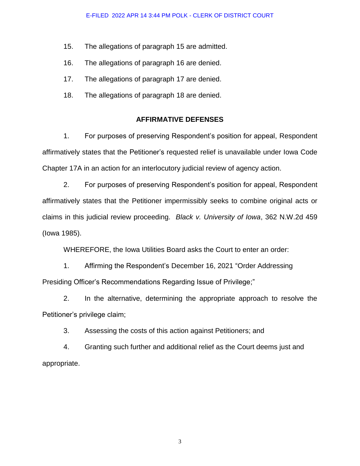- 15. The allegations of paragraph 15 are admitted.
- 16. The allegations of paragraph 16 are denied.
- 17. The allegations of paragraph 17 are denied.
- 18. The allegations of paragraph 18 are denied.

## **AFFIRMATIVE DEFENSES**

1. For purposes of preserving Respondent's position for appeal, Respondent affirmatively states that the Petitioner's requested relief is unavailable under Iowa Code Chapter 17A in an action for an interlocutory judicial review of agency action.

2. For purposes of preserving Respondent's position for appeal, Respondent affirmatively states that the Petitioner impermissibly seeks to combine original acts or claims in this judicial review proceeding. *Black v. University of Iowa*, 362 N.W.2d 459 (Iowa 1985).

WHEREFORE, the Iowa Utilities Board asks the Court to enter an order:

1. Affirming the Respondent's December 16, 2021 "Order Addressing Presiding Officer's Recommendations Regarding Issue of Privilege;"

2. In the alternative, determining the appropriate approach to resolve the Petitioner's privilege claim;

3. Assessing the costs of this action against Petitioners; and

4. Granting such further and additional relief as the Court deems just and appropriate.

3